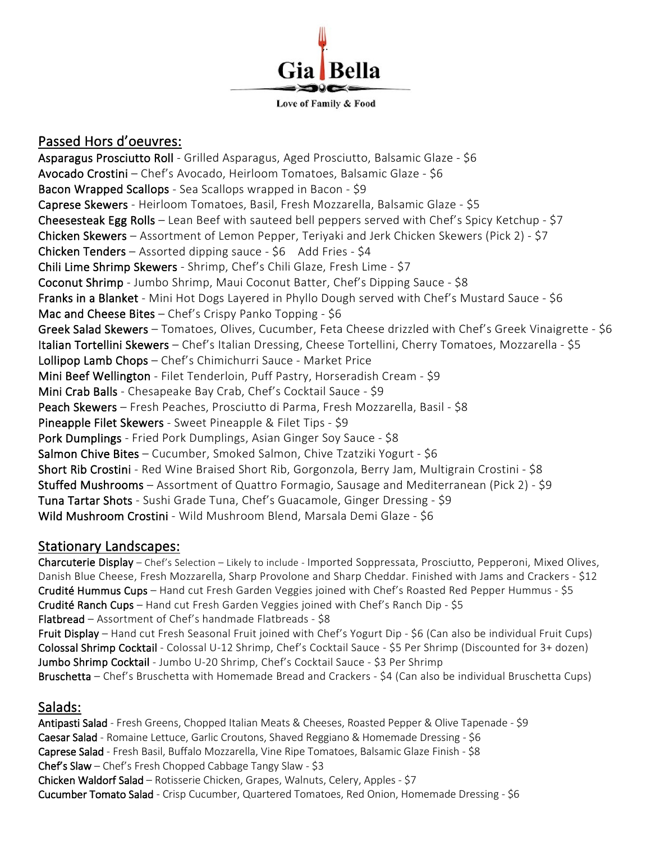

#### Passed Hors d'oeuvres:

Asparagus Prosciutto Roll - Grilled Asparagus, Aged Prosciutto, Balsamic Glaze - \$6 Avocado Crostini – Chef's Avocado, Heirloom Tomatoes, Balsamic Glaze - \$6 Bacon Wrapped Scallops - Sea Scallops wrapped in Bacon - \$9 Caprese Skewers - Heirloom Tomatoes, Basil, Fresh Mozzarella, Balsamic Glaze - \$5 Cheesesteak Egg Rolls – Lean Beef with sauteed bell peppers served with Chef's Spicy Ketchup - \$7 Chicken Skewers – Assortment of Lemon Pepper, Teriyaki and Jerk Chicken Skewers (Pick 2) - \$7 Chicken Tenders – Assorted dipping sauce -  $$6$  Add Fries -  $$4$ Chili Lime Shrimp Skewers - Shrimp, Chef's Chili Glaze, Fresh Lime - \$7 Coconut Shrimp - Jumbo Shrimp, Maui Coconut Batter, Chef's Dipping Sauce - \$8 Franks in a Blanket - Mini Hot Dogs Layered in Phyllo Dough served with Chef's Mustard Sauce - \$6 Mac and Cheese Bites - Chef's Crispy Panko Topping - \$6 Greek Salad Skewers – Tomatoes, Olives, Cucumber, Feta Cheese drizzled with Chef's Greek Vinaigrette - \$6 Italian Tortellini Skewers - Chef's Italian Dressing, Cheese Tortellini, Cherry Tomatoes, Mozzarella - \$5 Lollipop Lamb Chops – Chef's Chimichurri Sauce - Market Price Mini Beef Wellington - Filet Tenderloin, Puff Pastry, Horseradish Cream - \$9 Mini Crab Balls - Chesapeake Bay Crab, Chef's Cocktail Sauce - \$9 Peach Skewers – Fresh Peaches, Prosciutto di Parma, Fresh Mozzarella, Basil - \$8 Pineapple Filet Skewers - Sweet Pineapple & Filet Tips - \$9 Pork Dumplings - Fried Pork Dumplings, Asian Ginger Soy Sauce - \$8 Salmon Chive Bites - Cucumber, Smoked Salmon, Chive Tzatziki Yogurt - \$6 Short Rib Crostini - Red Wine Braised Short Rib, Gorgonzola, Berry Jam, Multigrain Crostini - \$8 Stuffed Mushrooms – Assortment of Quattro Formagio, Sausage and Mediterranean (Pick 2) - \$9 Tuna Tartar Shots - Sushi Grade Tuna, Chef's Guacamole, Ginger Dressing - \$9 Wild Mushroom Crostini - Wild Mushroom Blend, Marsala Demi Glaze - \$6

#### Stationary Landscapes:

Charcuterie Display – Chef's Selection – Likely to include - Imported Soppressata, Prosciutto, Pepperoni, Mixed Olives, Danish Blue Cheese, Fresh Mozzarella, Sharp Provolone and Sharp Cheddar. Finished with Jams and Crackers - \$12 Crudité Hummus Cups - Hand cut Fresh Garden Veggies joined with Chef's Roasted Red Pepper Hummus - \$5 Crudité Ranch Cups – Hand cut Fresh Garden Veggies joined with Chef's Ranch Dip - \$5 Flatbread – Assortment of Chef's handmade Flatbreads - \$8 Fruit Display – Hand cut Fresh Seasonal Fruit joined with Chef's Yogurt Dip - \$6 (Can also be individual Fruit Cups) Colossal Shrimp Cocktail - Colossal U-12 Shrimp, Chef's Cocktail Sauce - \$5 Per Shrimp (Discounted for 3+ dozen) Jumbo Shrimp Cocktail - Jumbo U-20 Shrimp, Chef's Cocktail Sauce - \$3 Per Shrimp Bruschetta – Chef's Bruschetta with Homemade Bread and Crackers - \$4 (Can also be individual Bruschetta Cups)

#### Salads:

Antipasti Salad - Fresh Greens, Chopped Italian Meats & Cheeses, Roasted Pepper & Olive Tapenade - \$9 Caesar Salad - Romaine Lettuce, Garlic Croutons, Shaved Reggiano & Homemade Dressing - \$6 Caprese Salad - Fresh Basil, Buffalo Mozzarella, Vine Ripe Tomatoes, Balsamic Glaze Finish - \$8 Chef's Slaw – Chef's Fresh Chopped Cabbage Tangy Slaw - \$3 Chicken Waldorf Salad – Rotisserie Chicken, Grapes, Walnuts, Celery, Apples - \$7 Cucumber Tomato Salad - Crisp Cucumber, Quartered Tomatoes, Red Onion, Homemade Dressing - \$6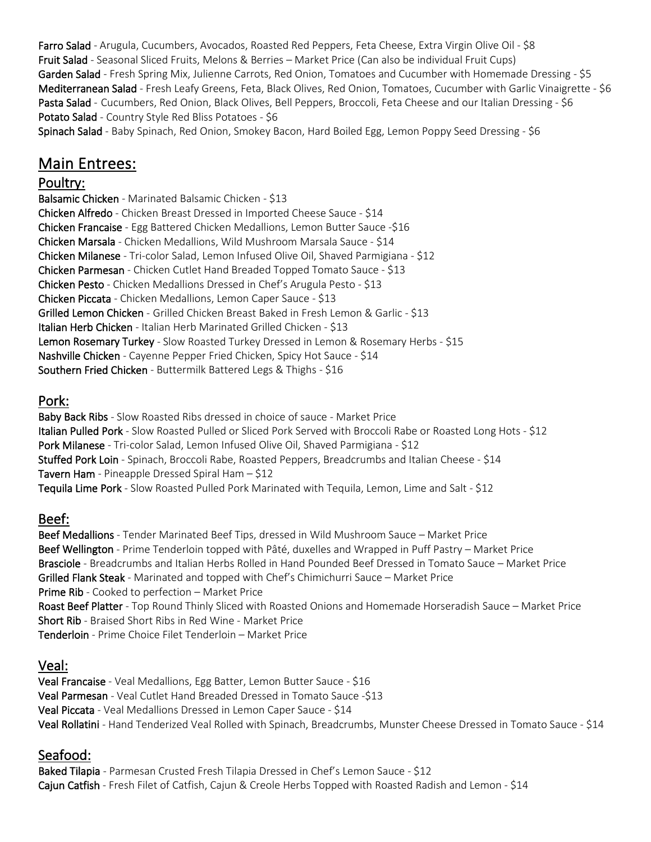Farro Salad - Arugula, Cucumbers, Avocados, Roasted Red Peppers, Feta Cheese, Extra Virgin Olive Oil - \$8 Fruit Salad - Seasonal Sliced Fruits, Melons & Berries – Market Price (Can also be individual Fruit Cups) Garden Salad - Fresh Spring Mix, Julienne Carrots, Red Onion, Tomatoes and Cucumber with Homemade Dressing - \$5 Mediterranean Salad - Fresh Leafy Greens, Feta, Black Olives, Red Onion, Tomatoes, Cucumber with Garlic Vinaigrette - \$6 Pasta Salad - Cucumbers, Red Onion, Black Olives, Bell Peppers, Broccoli, Feta Cheese and our Italian Dressing - \$6 Potato Salad - Country Style Red Bliss Potatoes - \$6

Spinach Salad - Baby Spinach, Red Onion, Smokey Bacon, Hard Boiled Egg, Lemon Poppy Seed Dressing - \$6

# Main Entrees:

#### Poultry:

Balsamic Chicken - Marinated Balsamic Chicken - \$13 Chicken Alfredo - Chicken Breast Dressed in Imported Cheese Sauce - \$14 Chicken Francaise - Egg Battered Chicken Medallions, Lemon Butter Sauce -\$16 Chicken Marsala - Chicken Medallions, Wild Mushroom Marsala Sauce - \$14 Chicken Milanese - Tri-color Salad, Lemon Infused Olive Oil, Shaved Parmigiana - \$12 Chicken Parmesan - Chicken Cutlet Hand Breaded Topped Tomato Sauce - \$13 Chicken Pesto - Chicken Medallions Dressed in Chef's Arugula Pesto - \$13 Chicken Piccata - Chicken Medallions, Lemon Caper Sauce - \$13 Grilled Lemon Chicken - Grilled Chicken Breast Baked in Fresh Lemon & Garlic - \$13 Italian Herb Chicken - Italian Herb Marinated Grilled Chicken - \$13 Lemon Rosemary Turkey - Slow Roasted Turkey Dressed in Lemon & Rosemary Herbs - \$15 Nashville Chicken - Cayenne Pepper Fried Chicken, Spicy Hot Sauce - \$14 Southern Fried Chicken - Buttermilk Battered Legs & Thighs - \$16

# Pork:

Baby Back Ribs - Slow Roasted Ribs dressed in choice of sauce - Market Price Italian Pulled Pork - Slow Roasted Pulled or Sliced Pork Served with Broccoli Rabe or Roasted Long Hots - \$12 Pork Milanese - Tri-color Salad, Lemon Infused Olive Oil, Shaved Parmigiana - \$12 Stuffed Pork Loin - Spinach, Broccoli Rabe, Roasted Peppers, Breadcrumbs and Italian Cheese - \$14 Tavern Ham - Pineapple Dressed Spiral Ham  $-$  \$12 Tequila Lime Pork - Slow Roasted Pulled Pork Marinated with Tequila, Lemon, Lime and Salt - \$12

# Beef:

Beef Medallions - Tender Marinated Beef Tips, dressed in Wild Mushroom Sauce – Market Price Beef Wellington - Prime Tenderloin topped with Pâté, duxelles and Wrapped in Puff Pastry – Market Price Brasciole - Breadcrumbs and Italian Herbs Rolled in Hand Pounded Beef Dressed in Tomato Sauce – Market Price Grilled Flank Steak - Marinated and topped with Chef's Chimichurri Sauce – Market Price Prime Rib - Cooked to perfection – Market Price Roast Beef Platter - Top Round Thinly Sliced with Roasted Onions and Homemade Horseradish Sauce – Market Price Short Rib - Braised Short Ribs in Red Wine - Market Price Tenderloin - Prime Choice Filet Tenderloin – Market Price

#### Veal:

Veal Francaise - Veal Medallions, Egg Batter, Lemon Butter Sauce - \$16 Veal Parmesan - Veal Cutlet Hand Breaded Dressed in Tomato Sauce -\$13 Veal Piccata - Veal Medallions Dressed in Lemon Caper Sauce - \$14 Veal Rollatini - Hand Tenderized Veal Rolled with Spinach, Breadcrumbs, Munster Cheese Dressed in Tomato Sauce - \$14

#### Seafood:

Baked Tilapia - Parmesan Crusted Fresh Tilapia Dressed in Chef's Lemon Sauce - \$12 Cajun Catfish - Fresh Filet of Catfish, Cajun & Creole Herbs Topped with Roasted Radish and Lemon - \$14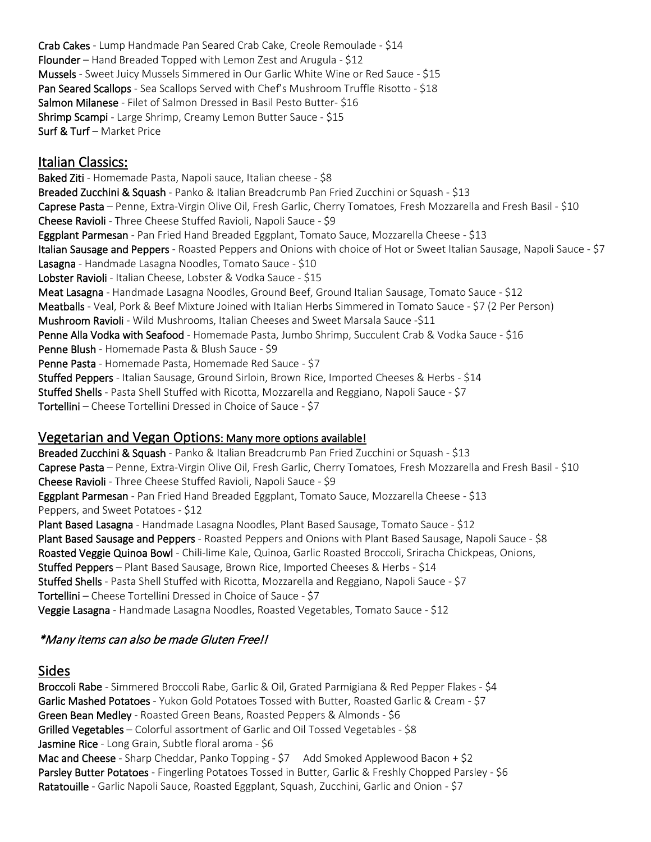Crab Cakes - Lump Handmade Pan Seared Crab Cake, Creole Remoulade - \$14 Flounder – Hand Breaded Topped with Lemon Zest and Arugula - \$12 Mussels - Sweet Juicy Mussels Simmered in Our Garlic White Wine or Red Sauce - \$15 Pan Seared Scallops - Sea Scallops Served with Chef's Mushroom Truffle Risotto - \$18 Salmon Milanese - Filet of Salmon Dressed in Basil Pesto Butter- \$16 Shrimp Scampi - Large Shrimp, Creamy Lemon Butter Sauce - \$15 Surf & Turf – Market Price

### Italian Classics:

Baked Ziti - Homemade Pasta, Napoli sauce, Italian cheese - \$8 Breaded Zucchini & Squash - Panko & Italian Breadcrumb Pan Fried Zucchini or Squash - \$13 Caprese Pasta – Penne, Extra-Virgin Olive Oil, Fresh Garlic, Cherry Tomatoes, Fresh Mozzarella and Fresh Basil - \$10 Cheese Ravioli - Three Cheese Stuffed Ravioli, Napoli Sauce - \$9 Eggplant Parmesan - Pan Fried Hand Breaded Eggplant, Tomato Sauce, Mozzarella Cheese - \$13 Italian Sausage and Peppers - Roasted Peppers and Onions with choice of Hot or Sweet Italian Sausage, Napoli Sauce - \$7 Lasagna - Handmade Lasagna Noodles, Tomato Sauce - \$10 Lobster Ravioli - Italian Cheese, Lobster & Vodka Sauce - \$15 Meat Lasagna - Handmade Lasagna Noodles, Ground Beef, Ground Italian Sausage, Tomato Sauce - \$12 Meatballs - Veal, Pork & Beef Mixture Joined with Italian Herbs Simmered in Tomato Sauce - \$7 (2 Per Person) Mushroom Ravioli - Wild Mushrooms, Italian Cheeses and Sweet Marsala Sauce -\$11 Penne Alla Vodka with Seafood - Homemade Pasta, Jumbo Shrimp, Succulent Crab & Vodka Sauce - \$16 Penne Blush - Homemade Pasta & Blush Sauce - \$9 Penne Pasta - Homemade Pasta, Homemade Red Sauce - \$7 Stuffed Peppers - Italian Sausage, Ground Sirloin, Brown Rice, Imported Cheeses & Herbs - \$14 Stuffed Shells - Pasta Shell Stuffed with Ricotta, Mozzarella and Reggiano, Napoli Sauce - \$7 Tortellini – Cheese Tortellini Dressed in Choice of Sauce - \$7

#### Vegetarian and Vegan Options: Many more options available!

Breaded Zucchini & Squash - Panko & Italian Breadcrumb Pan Fried Zucchini or Squash - \$13 Caprese Pasta - Penne, Extra-Virgin Olive Oil, Fresh Garlic, Cherry Tomatoes, Fresh Mozzarella and Fresh Basil - \$10 Cheese Ravioli - Three Cheese Stuffed Ravioli, Napoli Sauce - \$9 Eggplant Parmesan - Pan Fried Hand Breaded Eggplant, Tomato Sauce, Mozzarella Cheese - \$13 Peppers, and Sweet Potatoes - \$12 Plant Based Lasagna - Handmade Lasagna Noodles, Plant Based Sausage, Tomato Sauce - \$12 Plant Based Sausage and Peppers - Roasted Peppers and Onions with Plant Based Sausage, Napoli Sauce - \$8 Roasted Veggie Quinoa Bowl - Chili-lime Kale, Quinoa, Garlic Roasted Broccoli, Sriracha Chickpeas, Onions, Stuffed Peppers – Plant Based Sausage, Brown Rice, Imported Cheeses & Herbs - \$14 Stuffed Shells - Pasta Shell Stuffed with Ricotta, Mozzarella and Reggiano, Napoli Sauce - \$7 Tortellini – Cheese Tortellini Dressed in Choice of Sauce - \$7 Veggie Lasagna - Handmade Lasagna Noodles, Roasted Vegetables, Tomato Sauce - \$12

# \*Many items can also be made Gluten Free!!

# Sides

Broccoli Rabe - Simmered Broccoli Rabe, Garlic & Oil, Grated Parmigiana & Red Pepper Flakes - \$4 Garlic Mashed Potatoes - Yukon Gold Potatoes Tossed with Butter, Roasted Garlic & Cream - \$7 Green Bean Medley - Roasted Green Beans, Roasted Peppers & Almonds - \$6 Grilled Vegetables – Colorful assortment of Garlic and Oil Tossed Vegetables - \$8 Jasmine Rice - Long Grain, Subtle floral aroma - \$6 Mac and Cheese - Sharp Cheddar, Panko Topping - \$7 Add Smoked Applewood Bacon + \$2 Parsley Butter Potatoes - Fingerling Potatoes Tossed in Butter, Garlic & Freshly Chopped Parsley - \$6 Ratatouille - Garlic Napoli Sauce, Roasted Eggplant, Squash, Zucchini, Garlic and Onion - \$7